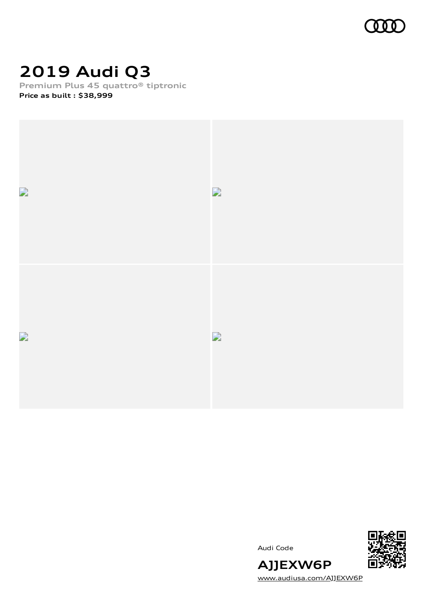

# **2019 Audi Q3**

**Premium Plus 45 quattro® tiptronic**

**Price as built [:](#page-8-0) \$38,999**



Audi Code



[www.audiusa.com/AJJEXW6P](https://www.audiusa.com/AJJEXW6P)

**AJJEXW6P**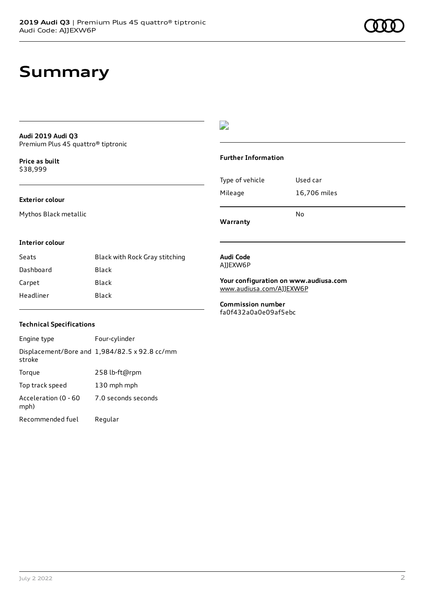#### **Audi 2019 Audi Q3** Premium Plus 45 quattro® tiptronic

**Price as buil[t](#page-8-0)** \$38,999

#### **Exterior colour**

Mythos Black metallic

### $\overline{\phantom{a}}$

#### **Further Information**

|                 | No           |
|-----------------|--------------|
| Mileage         | 16,706 miles |
| Type of vehicle | Used car     |

**Warranty**

#### **Interior colour**

| Seats     | Black with Rock Gray stitching |
|-----------|--------------------------------|
| Dashboard | Black                          |
| Carpet    | Black                          |
| Headliner | Black                          |

#### **Audi Code** AJJEXW6P

**Your configuration on www.audiusa.com** [www.audiusa.com/AJJEXW6P](https://www.audiusa.com/AJJEXW6P)

**Commission number** fa0f432a0a0e09af5ebc

#### **Technical Specifications**

| Engine type                  | Four-cylinder                                 |
|------------------------------|-----------------------------------------------|
| stroke                       | Displacement/Bore and 1,984/82.5 x 92.8 cc/mm |
| Torque                       | 258 lb-ft@rpm                                 |
| Top track speed              | 130 mph mph                                   |
| Acceleration (0 - 60<br>mph) | 7.0 seconds seconds                           |
| Recommended fuel             | Regular                                       |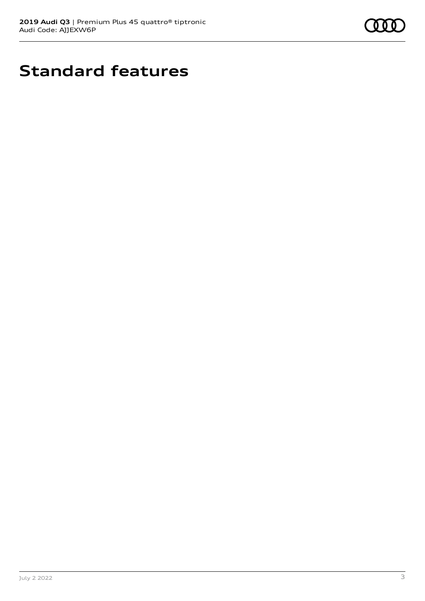

# **Standard features**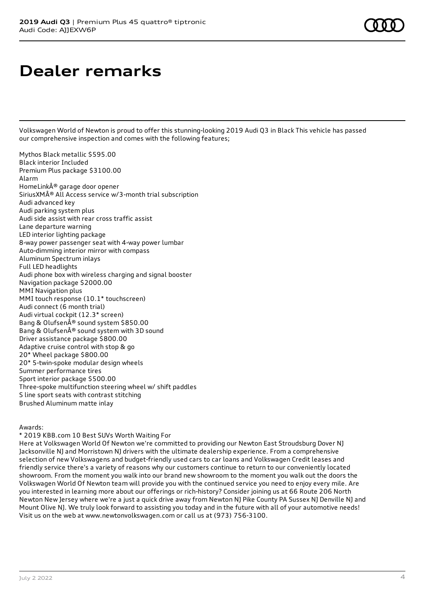# **Dealer remarks**

Volkswagen World of Newton is proud to offer this stunning-looking 2019 Audi Q3 in Black This vehicle has passed our comprehensive inspection and comes with the following features;

Mythos Black metallic \$595.00 Black interior Included Premium Plus package \$3100.00 Alarm HomeLink® garage door opener SiriusXM® All Access service w/3-month trial subscription Audi advanced key Audi parking system plus Audi side assist with rear cross traffic assist Lane departure warning LED interior lighting package 8-way power passenger seat with 4-way power lumbar Auto-dimming interior mirror with compass Aluminum Spectrum inlays Full LED headlights Audi phone box with wireless charging and signal booster Navigation package \$2000.00 MMI Navigation plus MMI touch response (10.1\* touchscreen) Audi connect (6 month trial) Audi virtual cockpit (12.3\* screen) Bang & Olufsen® sound system \$850.00 Bang & Olufsen® sound system with 3D sound Driver assistance package \$800.00 Adaptive cruise control with stop & go 20\* Wheel package \$800.00 20\* 5-twin-spoke modular design wheels Summer performance tires Sport interior package \$500.00 Three-spoke multifunction steering wheel w/ shift paddles S line sport seats with contrast stitching Brushed Aluminum matte inlay

#### Awards:

\* 2019 KBB.com 10 Best SUVs Worth Waiting For

Here at Volkswagen World Of Newton we're committed to providing our Newton East Stroudsburg Dover NJ Jacksonville NJ and Morristown NJ drivers with the ultimate dealership experience. From a comprehensive selection of new Volkswagens and budget-friendly used cars to car loans and Volkswagen Credit leases and friendly service there's a variety of reasons why our customers continue to return to our conveniently located showroom. From the moment you walk into our brand new showroom to the moment you walk out the doors the Volkswagen World Of Newton team will provide you with the continued service you need to enjoy every mile. Are you interested in learning more about our offerings or rich-history? Consider joining us at 66 Route 206 North Newton New Jersey where we're a just a quick drive away from Newton NJ Pike County PA Sussex NJ Denville NJ and Mount Olive NJ. We truly look forward to assisting you today and in the future with all of your automotive needs! Visit us on the web at www.newtonvolkswagen.com or call us at (973) 756-3100.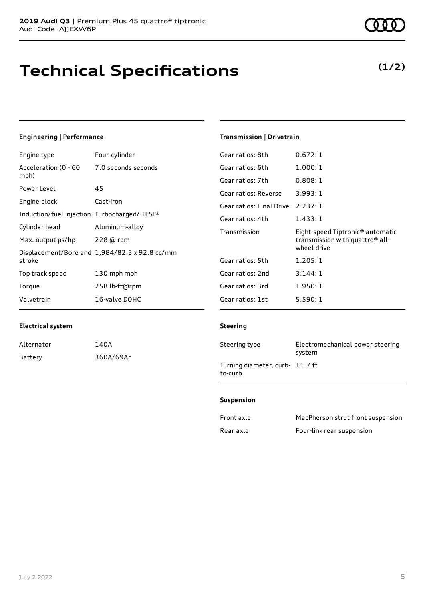# **Technical Specifications**

### **Engineering | Performance**

| Engine type                                 | Four-cylinder                                 | Gear ratios: 8th         | 0.672:1                                      |
|---------------------------------------------|-----------------------------------------------|--------------------------|----------------------------------------------|
| Acceleration (0 - 60                        | 7.0 seconds seconds                           | Gear ratios: 6th         | 1.000:1                                      |
| mph)                                        |                                               | Gear ratios: 7th         | 0.808:1                                      |
| Power Level                                 | 45                                            | Gear ratios: Reverse     | 3.993:1                                      |
| Engine block                                | Cast-iron                                     | Gear ratios: Final Drive | 2.237:1                                      |
| Induction/fuel injection Turbocharged/TFSI® |                                               | Gear ratios: 4th         | 1.433:1                                      |
| Cylinder head                               | Aluminum-alloy                                | Transmission             | Eight-speed Tiptronic <sup>®</sup> automatic |
| Max. output ps/hp                           | 228 @ rpm                                     |                          | transmission with quattro <sup>®</sup> all-  |
|                                             | Displacement/Bore and 1,984/82.5 x 92.8 cc/mm |                          | wheel drive                                  |
| stroke                                      |                                               | Gear ratios: 5th         | 1.205:1                                      |
| Top track speed                             | 130 mph mph                                   | Gear ratios: 2nd         | 3.144:1                                      |
| Torque                                      | 258 lb-ft@rpm                                 | Gear ratios: 3rd         | 1.950:1                                      |
| Valvetrain                                  | 16-valve DOHC                                 | Gear ratios: 1st         | 5.590:1                                      |

### **Electrical system**

| Alternator | 140A      |
|------------|-----------|
| Batterv    | 360A/69Ah |

## **Transmission | Drivetrain**

#### **Steering**

| Steering type                              | Electromechanical power steering<br>system |
|--------------------------------------------|--------------------------------------------|
| Turning diameter, curb- 11.7 ft<br>to-curb |                                            |

#### **Suspension**

| Front axle | MacPherson strut front suspension |
|------------|-----------------------------------|
| Rear axle  | Four-link rear suspension         |

### **(1/2)**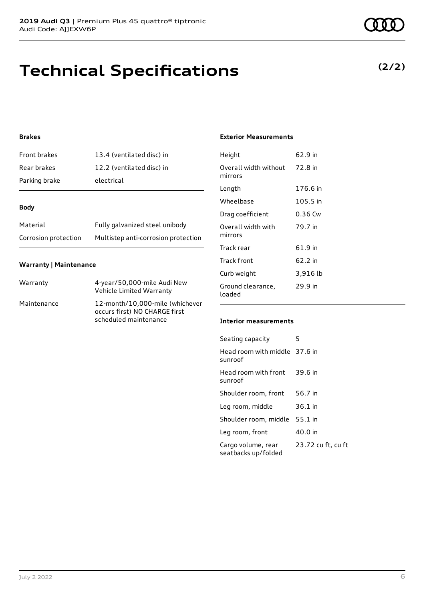# **Technical Specifications**

### **Brakes**

| Front brakes  | 13.4 (ventilated disc) in |
|---------------|---------------------------|
| Rear brakes   | 12.2 (ventilated disc) in |
| Parking brake | electrical                |

#### **Body**

| Material             | Fully galvanized steel unibody      |
|----------------------|-------------------------------------|
| Corrosion protection | Multistep anti-corrosion protection |

#### **Warranty | Maintenance**

| Warranty    | 4-year/50,000-mile Audi New<br>Vehicle Limited Warranty                                   |
|-------------|-------------------------------------------------------------------------------------------|
| Maintenance | 12-month/10,000-mile (whichever<br>occurs first) NO CHARGE first<br>scheduled maintenance |

### **Exterior Measurements**

| Height                           | 62.9 in  |
|----------------------------------|----------|
| Overall width without<br>mirrors | 72.8 in  |
| Length                           | 176.6 in |
| Wheelbase                        | 105.5 in |
| Drag coefficient                 | 0.36 Cw  |
| Overall width with<br>mirrors    | 79.7 in  |
| Track rear                       | 61.9 in  |
| Track front                      | 62.2 in  |
| Curb weight                      | 3,916 lb |
| Ground clearance,<br>loaded      | 29.9 in  |

### **Interior measurements**

| Seating capacity                          | 5                  |
|-------------------------------------------|--------------------|
| Head room with middle 37.6 in<br>sunroof  |                    |
| Head room with front<br>sunroof           | 39.6 in            |
| Shoulder room, front                      | 56.7 in            |
| Leg room, middle                          | $36.1$ in          |
| Shoulder room, middle                     | 55.1 in            |
| Leg room, front                           | 40.0 in            |
| Cargo volume, rear<br>seatbacks up/folded | 23.72 cu ft, cu ft |

### **(2/2)**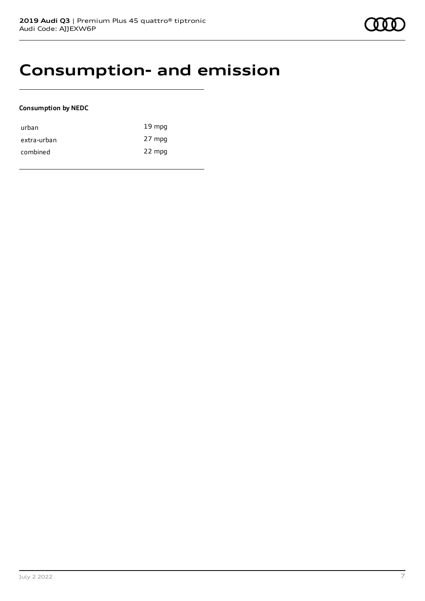## **Consumption- and emission**

#### **Consumption by NEDC**

| urban       | $19 \text{ mpg}$ |
|-------------|------------------|
| extra-urban | 27 mpg           |
| combined    | 22 mpg           |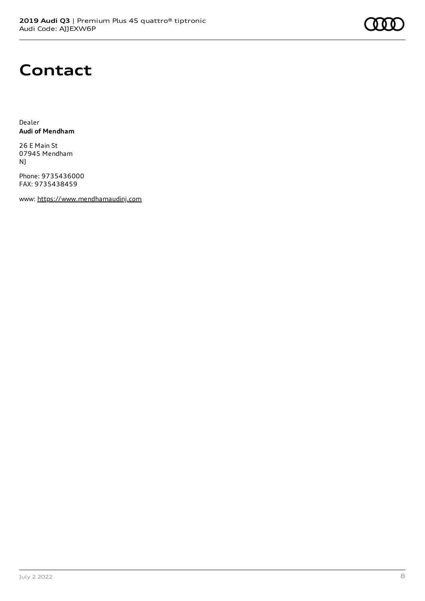# **Contact**

Dealer **Audi of Mendham**

26 E Main St 07945 Mendham NJ

Phone: 9735436000 FAX: 9735438459

www: [https://www.mendhamaudinj.com](https://www.mendhamaudinj.com/)